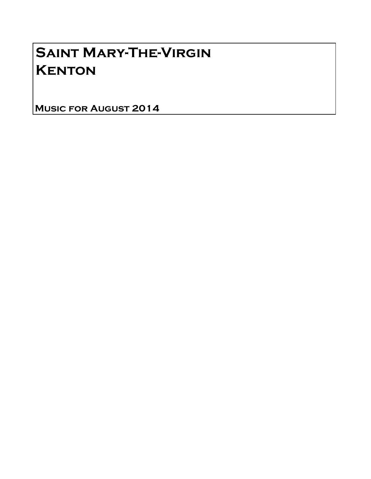# Saint Mary-The-Virgin **KENTON**

Music for August 2014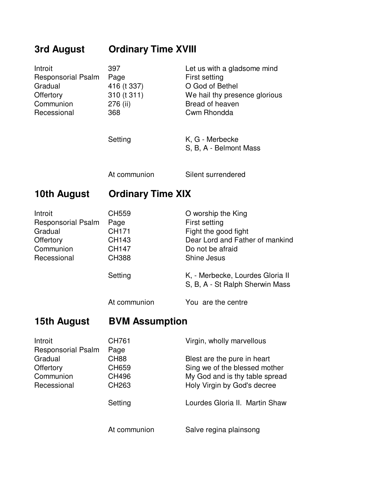## **3rd August Ordinary Time XVIII**

| Introit<br><b>Responsorial Psalm</b><br>Gradual<br>Offertory<br>Communion<br>Recessional | 397<br>Page<br>416 (t 337)<br>310 (t 311)<br>276 (ii)<br>368 | Let us with a gladsome mind<br>First setting<br>O God of Bethel<br>We hail thy presence glorious<br>Bread of heaven<br>Cwm Rhondda |
|------------------------------------------------------------------------------------------|--------------------------------------------------------------|------------------------------------------------------------------------------------------------------------------------------------|
|                                                                                          | Setting                                                      | K, G - Merbecke<br>S, B, A - Belmont Mass                                                                                          |
|                                                                                          | At communion                                                 | Silent surrendered                                                                                                                 |
| 10th August                                                                              | <b>Ordinary Time XIX</b>                                     |                                                                                                                                    |
| Introit                                                                                  | CH559                                                        | O worship the King                                                                                                                 |
| <b>Responsorial Psalm</b><br>Gradual<br><b>Offertory</b><br>Communion<br>Recessional     | Page<br>CH171<br>CH143<br><b>CH147</b><br><b>CH388</b>       | First setting<br>Fight the good fight<br>Dear Lord and Father of mankind<br>Do not be afraid<br><b>Shine Jesus</b>                 |
|                                                                                          | Setting<br>At communion                                      | K, - Merbecke, Lourdes Gloria II<br>S, B, A - St Ralph Sherwin Mass<br>You are the centre                                          |

### **15th August BVM Assumption**

| Introit<br><b>Responsorial Psalm</b> | <b>CH761</b><br>Page              | Virgin, wholly marvellous                                    |
|--------------------------------------|-----------------------------------|--------------------------------------------------------------|
| Gradual<br>Offertory                 | <b>CH88</b><br>CH659              | Blest are the pure in heart<br>Sing we of the blessed mother |
| Communion<br>Recessional             | <b>CH496</b><br>CH <sub>263</sub> | My God and is thy table spread                               |
|                                      |                                   | Holy Virgin by God's decree                                  |
|                                      | Setting                           | Lourdes Gloria II. Martin Shaw                               |
|                                      | At communion                      | Salve regina plainsong                                       |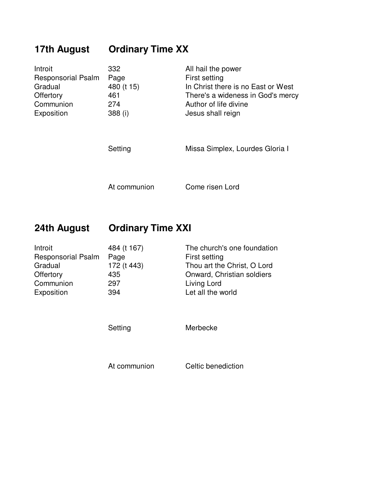## **17th August Ordinary Time XX**

| Introit                   | 332        | All hail the power                 |
|---------------------------|------------|------------------------------------|
| <b>Responsorial Psalm</b> | Page       | First setting                      |
| Gradual                   | 480 (t 15) | In Christ there is no East or West |
| <b>Offertory</b>          | 461        | There's a wideness in God's mercy  |
| Communion                 | 274        | Author of life divine              |
| Exposition                | 388 (i)    | Jesus shall reign                  |
|                           | Setting    | Missa Simplex, Lourdes Gloria I    |

At communion Come risen Lord

### **24th August Ordinary Time XXI**

| Introit                   | 484 (t 167) | The church's one foundation |
|---------------------------|-------------|-----------------------------|
| <b>Responsorial Psalm</b> | Page        | <b>First setting</b>        |
| Gradual                   | 172 (t 443) | Thou art the Christ, O Lord |
| Offertory                 | 435         | Onward, Christian soldiers  |
| Communion                 | 297         | Living Lord                 |
| Exposition                | 394         | Let all the world           |

Setting Merbecke

At communion Celtic benediction